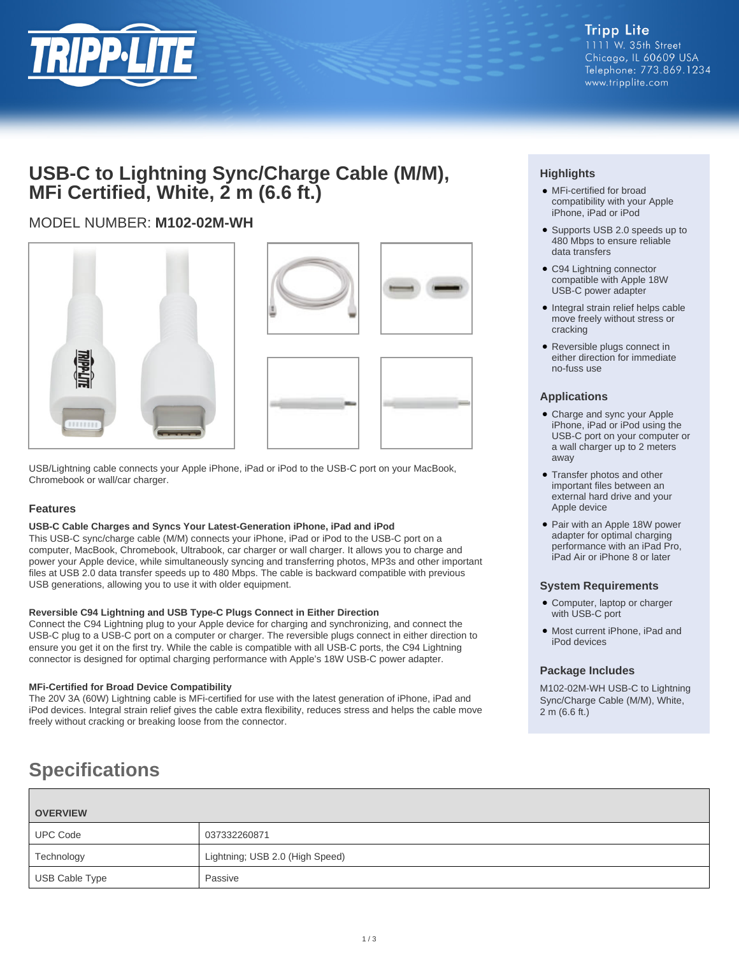

## **USB-C to Lightning Sync/Charge Cable (M/M), MFi Certified, White, 2 m (6.6 ft.)**

### MODEL NUMBER: **M102-02M-WH**





USB/Lightning cable connects your Apple iPhone, iPad or iPod to the USB-C port on your MacBook, Chromebook or wall/car charger.

### **Features**

### **USB-C Cable Charges and Syncs Your Latest-Generation iPhone, iPad and iPod**

This USB-C sync/charge cable (M/M) connects your iPhone, iPad or iPod to the USB-C port on a computer, MacBook, Chromebook, Ultrabook, car charger or wall charger. It allows you to charge and power your Apple device, while simultaneously syncing and transferring photos, MP3s and other important files at USB 2.0 data transfer speeds up to 480 Mbps. The cable is backward compatible with previous USB generations, allowing you to use it with older equipment.

### **Reversible C94 Lightning and USB Type-C Plugs Connect in Either Direction**

Connect the C94 Lightning plug to your Apple device for charging and synchronizing, and connect the USB-C plug to a USB-C port on a computer or charger. The reversible plugs connect in either direction to ensure you get it on the first try. While the cable is compatible with all USB-C ports, the C94 Lightning connector is designed for optimal charging performance with Apple's 18W USB-C power adapter.

### **MFi-Certified for Broad Device Compatibility**

The 20V 3A (60W) Lightning cable is MFi-certified for use with the latest generation of iPhone, iPad and iPod devices. Integral strain relief gives the cable extra flexibility, reduces stress and helps the cable move freely without cracking or breaking loose from the connector.

# **Specifications**

| <b>OVERVIEW</b> |                                 |
|-----------------|---------------------------------|
| <b>UPC Code</b> | 037332260871                    |
| Technology      | Lightning; USB 2.0 (High Speed) |
| USB Cable Type  | Passive                         |

### **Highlights**

- MFi-certified for broad compatibility with your Apple iPhone, iPad or iPod
- Supports USB 2.0 speeds up to 480 Mbps to ensure reliable data transfers
- C94 Lightning connector compatible with Apple 18W USB-C power adapter
- Integral strain relief helps cable move freely without stress or cracking
- Reversible plugs connect in either direction for immediate no-fuss use

### **Applications**

- Charge and sync your Apple iPhone, iPad or iPod using the USB-C port on your computer or a wall charger up to 2 meters away
- Transfer photos and other important files between an external hard drive and your Apple device
- Pair with an Apple 18W power adapter for optimal charging performance with an iPad Pro, iPad Air or iPhone 8 or later

### **System Requirements**

- Computer, laptop or charger with USB-C port
- Most current iPhone, iPad and iPod devices

### **Package Includes**

M102-02M-WH USB-C to Lightning Sync/Charge Cable (M/M), White, 2 m (6.6 ft.)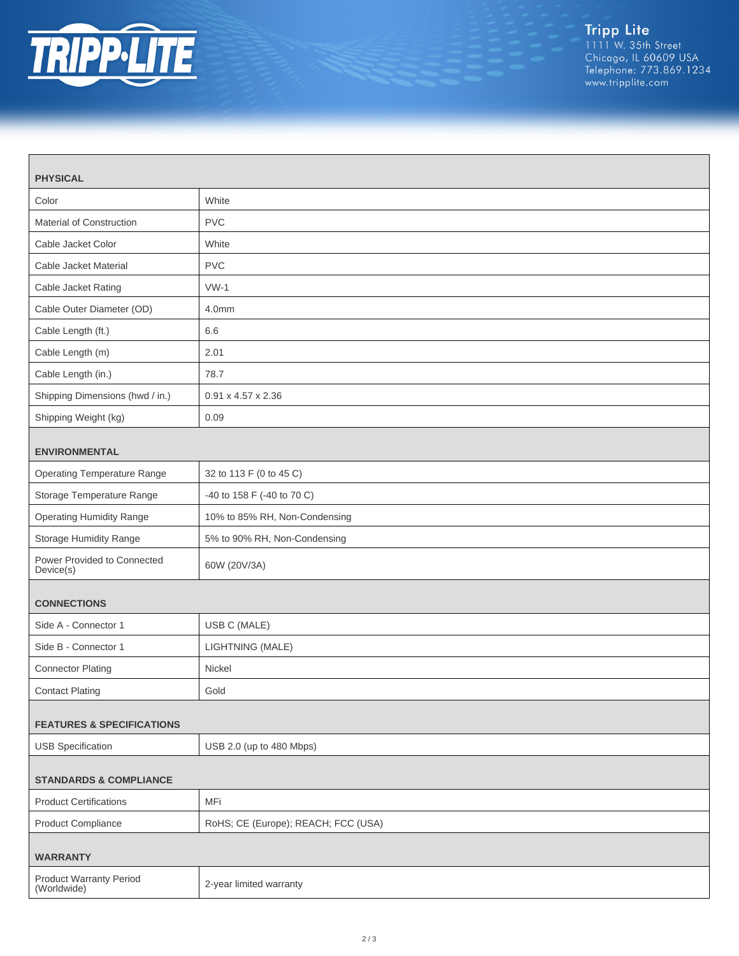

| <b>PHYSICAL</b>                               |                                     |  |
|-----------------------------------------------|-------------------------------------|--|
| Color                                         | White                               |  |
| Material of Construction                      | <b>PVC</b>                          |  |
| Cable Jacket Color                            | White                               |  |
| Cable Jacket Material                         | <b>PVC</b>                          |  |
| Cable Jacket Rating                           | $VW-1$                              |  |
| Cable Outer Diameter (OD)                     | 4.0mm                               |  |
| Cable Length (ft.)                            | 6.6                                 |  |
| Cable Length (m)                              | 2.01                                |  |
| Cable Length (in.)                            | 78.7                                |  |
| Shipping Dimensions (hwd / in.)               | 0.91 x 4.57 x 2.36                  |  |
| Shipping Weight (kg)                          | 0.09                                |  |
| <b>ENVIRONMENTAL</b>                          |                                     |  |
| <b>Operating Temperature Range</b>            | 32 to 113 F (0 to 45 C)             |  |
| Storage Temperature Range                     | -40 to 158 F (-40 to 70 C)          |  |
| <b>Operating Humidity Range</b>               | 10% to 85% RH, Non-Condensing       |  |
| Storage Humidity Range                        | 5% to 90% RH, Non-Condensing        |  |
| Power Provided to Connected<br>Device(s)      | 60W (20V/3A)                        |  |
| <b>CONNECTIONS</b>                            |                                     |  |
| Side A - Connector 1                          | USB C (MALE)                        |  |
| Side B - Connector 1                          | LIGHTNING (MALE)                    |  |
| <b>Connector Plating</b>                      | Nickel                              |  |
| <b>Contact Plating</b>                        | Gold                                |  |
| <b>FEATURES &amp; SPECIFICATIONS</b>          |                                     |  |
| <b>USB Specification</b>                      | USB 2.0 (up to 480 Mbps)            |  |
|                                               |                                     |  |
| <b>STANDARDS &amp; COMPLIANCE</b>             |                                     |  |
| <b>Product Certifications</b>                 | MFi                                 |  |
| <b>Product Compliance</b>                     | RoHS; CE (Europe); REACH; FCC (USA) |  |
| <b>WARRANTY</b>                               |                                     |  |
| <b>Product Warranty Period</b><br>(Worldwide) | 2-year limited warranty             |  |